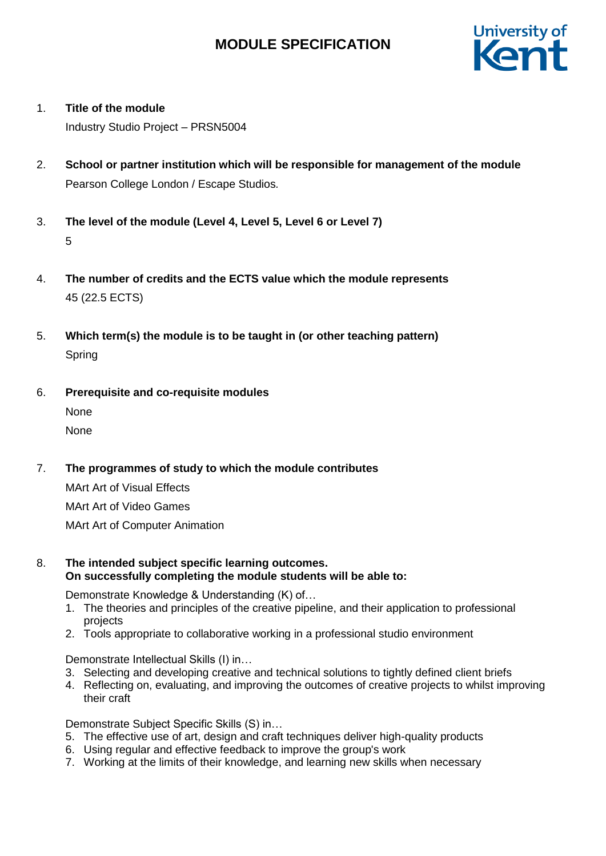

1. **Title of the module**

Industry Studio Project – PRSN5004

- 2. **School or partner institution which will be responsible for management of the module** Pearson College London / Escape Studios*.*
- 3. **The level of the module (Level 4, Level 5, Level 6 or Level 7)** 5
- 4. **The number of credits and the ECTS value which the module represents**  45 (22.5 ECTS)
- 5. **Which term(s) the module is to be taught in (or other teaching pattern)** Spring
- 6. **Prerequisite and co-requisite modules** None None
- 7. **The programmes of study to which the module contributes**

MArt Art of Visual Effects MArt Art of Video Games MArt Art of Computer Animation

8. **The intended subject specific learning outcomes. On successfully completing the module students will be able to:**

Demonstrate Knowledge & Understanding (K) of…

- 1. The theories and principles of the creative pipeline, and their application to professional projects
- 2. Tools appropriate to collaborative working in a professional studio environment

Demonstrate Intellectual Skills (I) in…

- 3. Selecting and developing creative and technical solutions to tightly defined client briefs
- 4. Reflecting on, evaluating, and improving the outcomes of creative projects to whilst improving their craft

Demonstrate Subject Specific Skills (S) in…

- 5. The effective use of art, design and craft techniques deliver high-quality products
- 6. Using regular and effective feedback to improve the group's work
- 7. Working at the limits of their knowledge, and learning new skills when necessary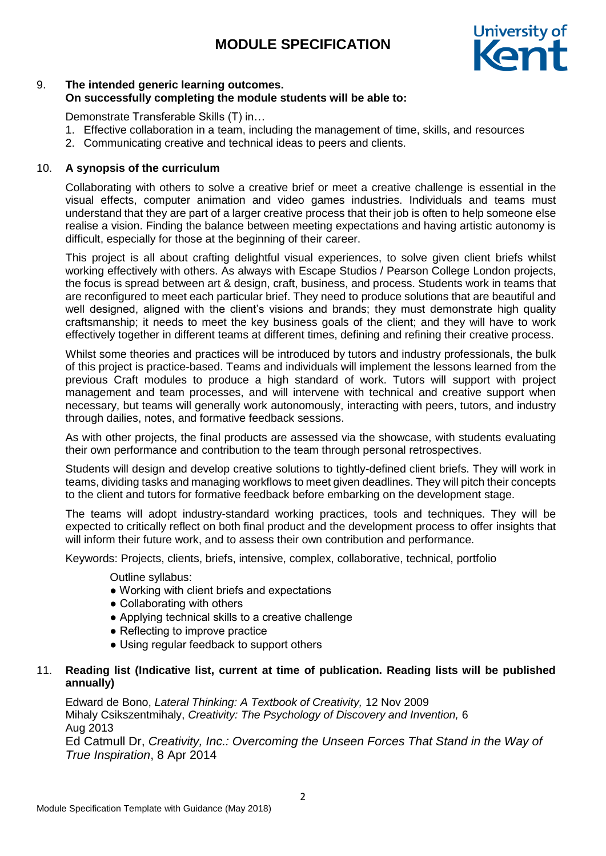

## 9. **The intended generic learning outcomes. On successfully completing the module students will be able to:**

Demonstrate Transferable Skills (T) in…

- 1. Effective collaboration in a team, including the management of time, skills, and resources
- 2. Communicating creative and technical ideas to peers and clients.

#### 10. **A synopsis of the curriculum**

Collaborating with others to solve a creative brief or meet a creative challenge is essential in the visual effects, computer animation and video games industries. Individuals and teams must understand that they are part of a larger creative process that their job is often to help someone else realise a vision. Finding the balance between meeting expectations and having artistic autonomy is difficult, especially for those at the beginning of their career.

This project is all about crafting delightful visual experiences, to solve given client briefs whilst working effectively with others. As always with Escape Studios / Pearson College London projects, the focus is spread between art & design, craft, business, and process. Students work in teams that are reconfigured to meet each particular brief. They need to produce solutions that are beautiful and well designed, aligned with the client's visions and brands; they must demonstrate high quality craftsmanship; it needs to meet the key business goals of the client; and they will have to work effectively together in different teams at different times, defining and refining their creative process.

Whilst some theories and practices will be introduced by tutors and industry professionals, the bulk of this project is practice-based. Teams and individuals will implement the lessons learned from the previous Craft modules to produce a high standard of work. Tutors will support with project management and team processes, and will intervene with technical and creative support when necessary, but teams will generally work autonomously, interacting with peers, tutors, and industry through dailies, notes, and formative feedback sessions.

As with other projects, the final products are assessed via the showcase, with students evaluating their own performance and contribution to the team through personal retrospectives.

Students will design and develop creative solutions to tightly-defined client briefs. They will work in teams, dividing tasks and managing workflows to meet given deadlines. They will pitch their concepts to the client and tutors for formative feedback before embarking on the development stage.

The teams will adopt industry-standard working practices, tools and techniques. They will be expected to critically reflect on both final product and the development process to offer insights that will inform their future work, and to assess their own contribution and performance.

Keywords: Projects, clients, briefs, intensive, complex, collaborative, technical, portfolio

Outline syllabus:

- Working with client briefs and expectations
- Collaborating with others
- Applying technical skills to a creative challenge
- Reflecting to improve practice
- Using regular feedback to support others

### 11. **Reading list (Indicative list, current at time of publication. Reading lists will be published annually)**

Edward de Bono, *Lateral Thinking: A Textbook of Creativity,* 12 Nov 2009 Mihaly Csikszentmihaly, *Creativity: The Psychology of Discovery and Invention,* 6 Aug 2013

Ed Catmull Dr, *Creativity, Inc.: Overcoming the Unseen Forces That Stand in the Way of True Inspiration*, 8 Apr 2014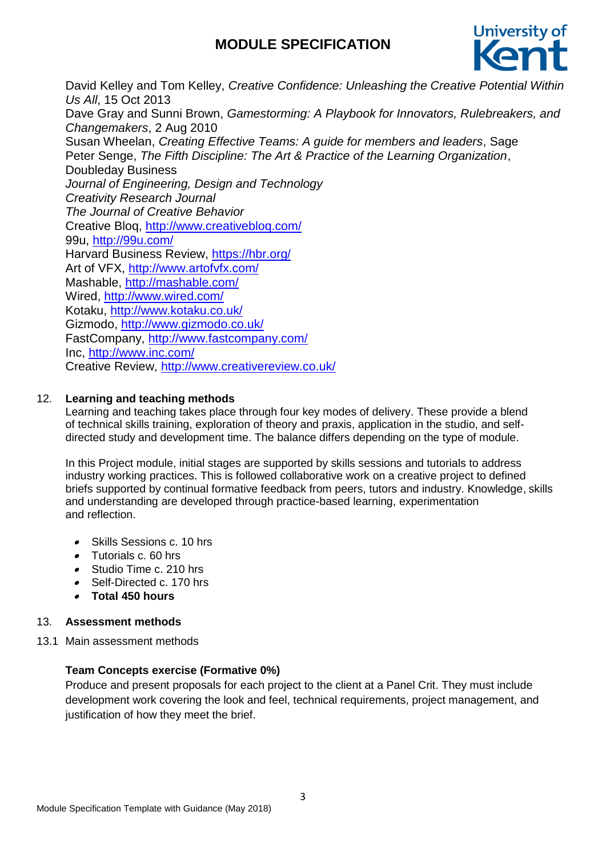

David Kelley and Tom Kelley, *Creative Confidence: Unleashing the Creative Potential Within Us All*, 15 Oct 2013 Dave Gray and Sunni Brown, *Gamestorming: A Playbook for Innovators, Rulebreakers, and Changemakers*, 2 Aug 2010 Susan Wheelan, *Creating Effective Teams: A guide for members and leaders*, Sage Peter Senge, *The Fifth Discipline: The Art & Practice of the Learning Organization*, Doubleday Business *Journal of Engineering, Design and Technology Creativity Research Journal The Journal of Creative Behavior* Creative Bloq,<http://www.creativebloq.com/> 99u,<http://99u.com/> Harvard Business Review,<https://hbr.org/> Art of VFX,<http://www.artofvfx.com/> Mashable,<http://mashable.com/> Wired,<http://www.wired.com/> Kotaku,<http://www.kotaku.co.uk/> Gizmodo,<http://www.gizmodo.co.uk/> FastCompany,<http://www.fastcompany.com/> Inc,<http://www.inc.com/> Creative Review, <http://www.creativereview.co.uk/>

## 12. **Learning and teaching methods**

Learning and teaching takes place through four key modes of delivery. These provide a blend of technical skills training, exploration of theory and praxis, application in the studio, and selfdirected study and development time. The balance differs depending on the type of module.

In this Project module, initial stages are supported by skills sessions and tutorials to address industry working practices. This is followed collaborative work on a creative project to defined briefs supported by continual formative feedback from peers, tutors and industry. Knowledge, skills and understanding are developed through practice-based learning, experimentation and reflection.

- Skills Sessions c. 10 hrs
- Tutorials c. 60 hrs
- Studio Time c. 210 hrs
- Self-Directed c. 170 hrs
- **Total 450 hours**

### 13. **Assessment methods**

13.1 Main assessment methods

## **Team Concepts exercise (Formative 0%)**

Produce and present proposals for each project to the client at a Panel Crit. They must include development work covering the look and feel, technical requirements, project management, and justification of how they meet the brief.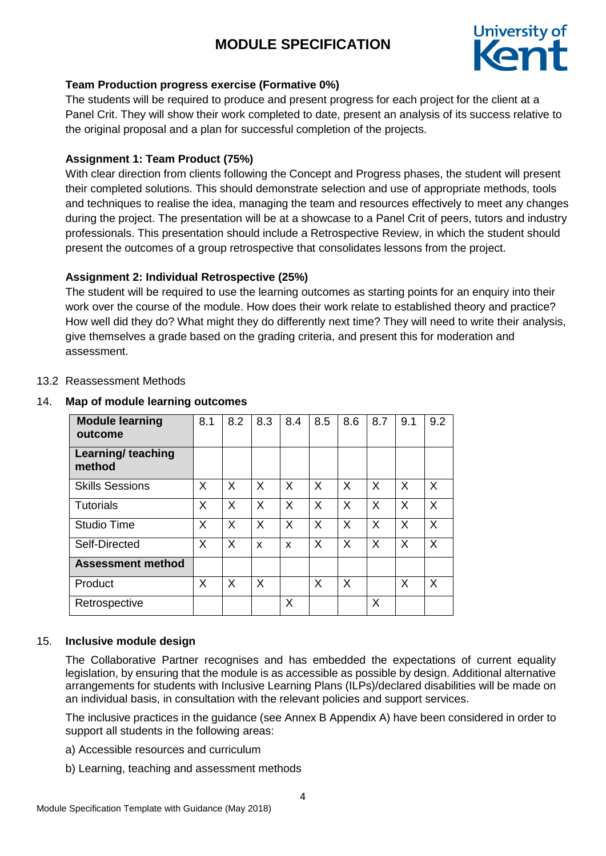

## **Team Production progress exercise (Formative 0%)**

The students will be required to produce and present progress for each project for the client at a Panel Crit. They will show their work completed to date, present an analysis of its success relative to the original proposal and a plan for successful completion of the projects.

## **Assignment 1: Team Product (75%)**

With clear direction from clients following the Concept and Progress phases, the student will present their completed solutions. This should demonstrate selection and use of appropriate methods, tools and techniques to realise the idea, managing the team and resources effectively to meet any changes during the project. The presentation will be at a showcase to a Panel Crit of peers, tutors and industry professionals. This presentation should include a Retrospective Review, in which the student should present the outcomes of a group retrospective that consolidates lessons from the project.

## **Assignment 2: Individual Retrospective (25%)**

The student will be required to use the learning outcomes as starting points for an enquiry into their work over the course of the module. How does their work relate to established theory and practice? How well did they do? What might they do differently next time? They will need to write their analysis, give themselves a grade based on the grading criteria, and present this for moderation and assessment.

### 13.2 Reassessment Methods

#### 14. **Map of module learning outcomes**

| <b>Module learning</b><br>outcome | 8.1 | 8.2      | 8.3 | 8.4 | 8.5 | 8.6 | 8.7      | 9.1 | 9.2 |
|-----------------------------------|-----|----------|-----|-----|-----|-----|----------|-----|-----|
| Learning/ teaching<br>method      |     |          |     |     |     |     |          |     |     |
| <b>Skills Sessions</b>            | X   | $\times$ | X   | X   | X   | X   | $\times$ | X   | X   |
| <b>Tutorials</b>                  | X   | $\times$ | X   | X   | X   | X   | $\times$ | X   | X   |
| <b>Studio Time</b>                | X   | X        | X   | X   | X   | X   | X        | X   | X   |
| Self-Directed                     | X   | X        | X   | X   | X   | X   | X        | X   | X   |
| <b>Assessment method</b>          |     |          |     |     |     |     |          |     |     |
| Product                           | X   | X        | X   |     | X   | X   |          | X   | X   |
| Retrospective                     |     |          |     | X   |     |     | X        |     |     |

### 15. **Inclusive module design**

The Collaborative Partner recognises and has embedded the expectations of current equality legislation, by ensuring that the module is as accessible as possible by design. Additional alternative arrangements for students with Inclusive Learning Plans (ILPs)/declared disabilities will be made on an individual basis, in consultation with the relevant policies and support services.

The inclusive practices in the guidance (see Annex B Appendix A) have been considered in order to support all students in the following areas:

- a) Accessible resources and curriculum
- b) Learning, teaching and assessment methods